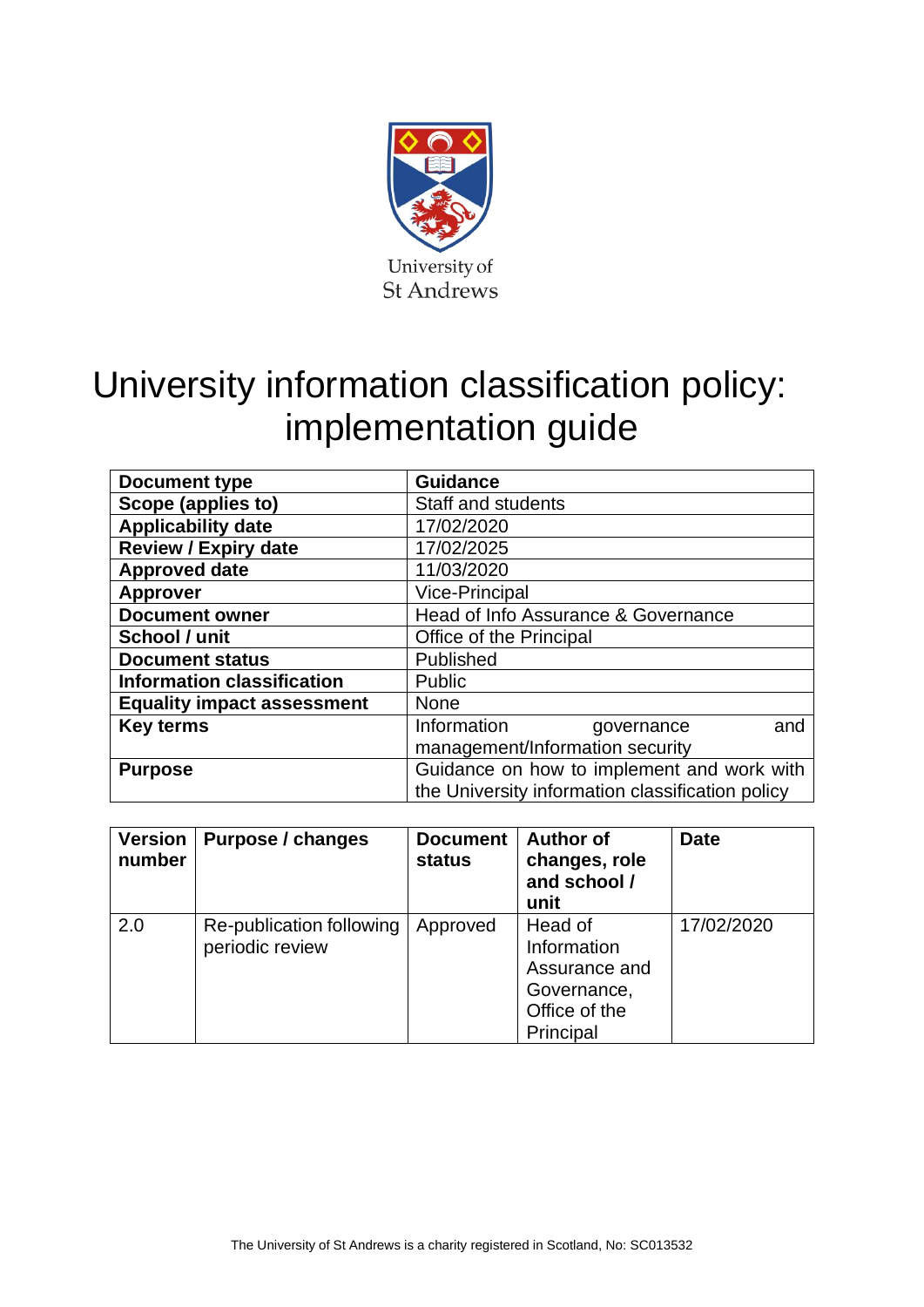

# University information classification policy: implementation guide

| <b>Document type</b>              | <b>Guidance</b>                                  |  |  |
|-----------------------------------|--------------------------------------------------|--|--|
| Scope (applies to)                | <b>Staff and students</b>                        |  |  |
| <b>Applicability date</b>         | 17/02/2020                                       |  |  |
| <b>Review / Expiry date</b>       | 17/02/2025                                       |  |  |
| <b>Approved date</b>              | 11/03/2020                                       |  |  |
| <b>Approver</b>                   | <b>Vice-Principal</b>                            |  |  |
| <b>Document owner</b>             | Head of Info Assurance & Governance              |  |  |
| School / unit                     | Office of the Principal                          |  |  |
| <b>Document status</b>            | Published                                        |  |  |
| <b>Information classification</b> | <b>Public</b>                                    |  |  |
| <b>Equality impact assessment</b> | <b>None</b>                                      |  |  |
| <b>Key terms</b>                  | Information<br>and<br>governance                 |  |  |
|                                   | management/Information security                  |  |  |
| <b>Purpose</b>                    | Guidance on how to implement and work with       |  |  |
|                                   | the University information classification policy |  |  |

| <b>Version</b><br>number | Purpose / changes                           | <b>Document</b><br><b>status</b> | <b>Author of</b><br>changes, role<br>and school /<br>unit                            | <b>Date</b> |
|--------------------------|---------------------------------------------|----------------------------------|--------------------------------------------------------------------------------------|-------------|
| 2.0                      | Re-publication following<br>periodic review | Approved                         | Head of<br>Information<br>Assurance and<br>Governance,<br>Office of the<br>Principal | 17/02/2020  |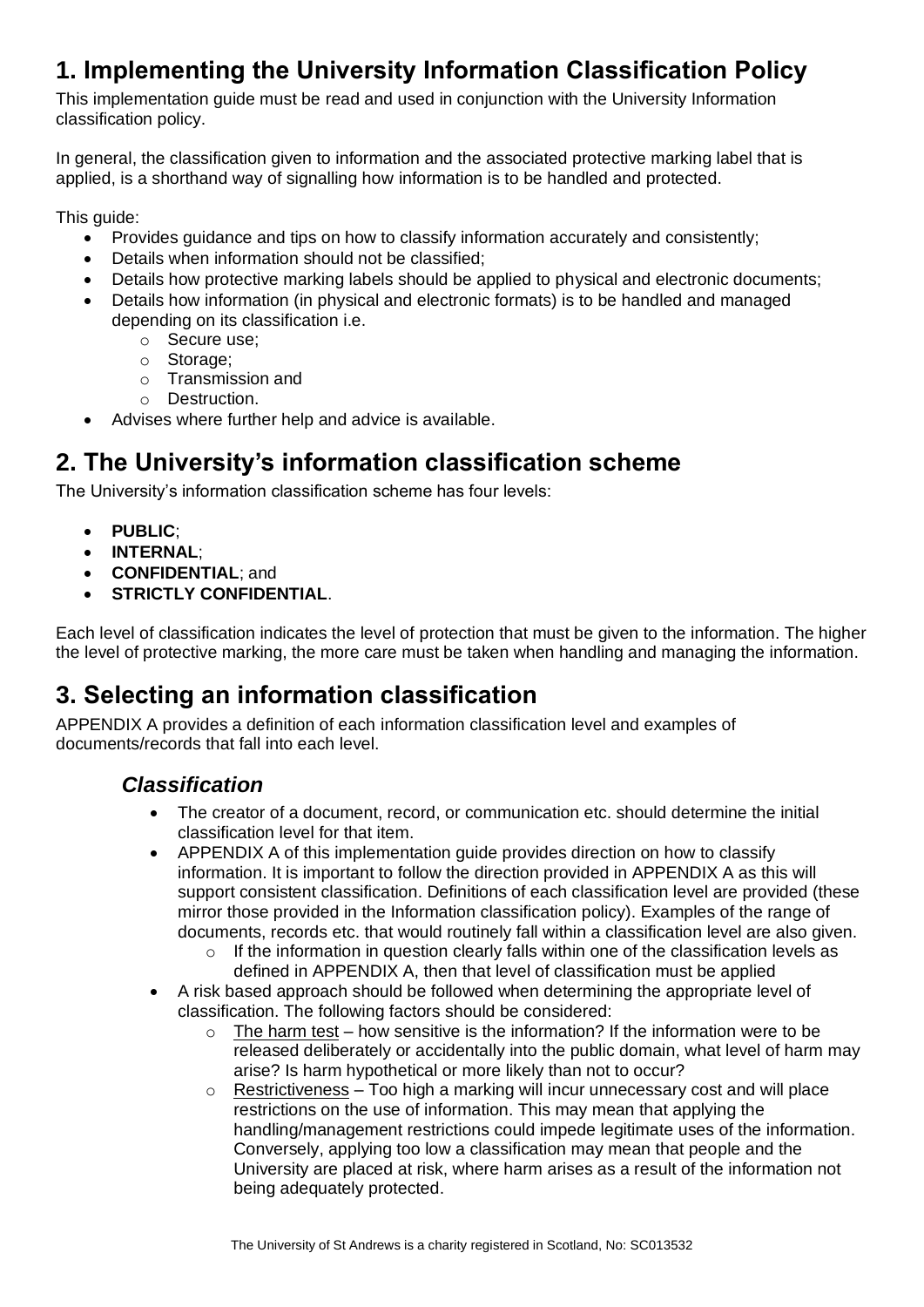# **1. Implementing the University Information Classification Policy**

This implementation guide must be read and used in conjunction with the University Information classification policy.

In general, the classification given to information and the associated protective marking label that is applied, is a shorthand way of signalling how information is to be handled and protected.

This guide:

- Provides guidance and tips on how to classify information accurately and consistently:
- Details when information should not be classified;
- Details how protective marking labels should be applied to physical and electronic documents;
- Details how information (in physical and electronic formats) is to be handled and managed depending on its classification i.e.
	- o Secure use;
	- o Storage;
	- o Transmission and
	- o Destruction.
- Advises where further help and advice is available.

# **2. The University's information classification scheme**

The University's information classification scheme has four levels:

- **PUBLIC**;
- **INTERNAL**;
- **CONFIDENTIAL**; and
- **STRICTLY CONFIDENTIAL**.

Each level of classification indicates the level of protection that must be given to the information. The higher the level of protective marking, the more care must be taken when handling and managing the information.

# **3. Selecting an information classification**

APPENDIX A provides a definition of each information classification level and examples of documents/records that fall into each level.

#### *Classification*

- The creator of a document, record, or communication etc, should determine the initial classification level for that item.
- APPENDIX A of this implementation guide provides direction on how to classify information. It is important to follow the direction provided in APPENDIX A as this will support consistent classification. Definitions of each classification level are provided (these mirror those provided in the Information classification policy). Examples of the range of documents, records etc. that would routinely fall within a classification level are also given.
	- o If the information in question clearly falls within one of the classification levels as defined in APPENDIX A, then that level of classification must be applied
- A risk based approach should be followed when determining the appropriate level of classification. The following factors should be considered:
	- $\circ$  The harm test how sensitive is the information? If the information were to be released deliberately or accidentally into the public domain, what level of harm may arise? Is harm hypothetical or more likely than not to occur?
	- $\circ$  Restrictiveness Too high a marking will incur unnecessary cost and will place restrictions on the use of information. This may mean that applying the handling/management restrictions could impede legitimate uses of the information. Conversely, applying too low a classification may mean that people and the University are placed at risk, where harm arises as a result of the information not being adequately protected.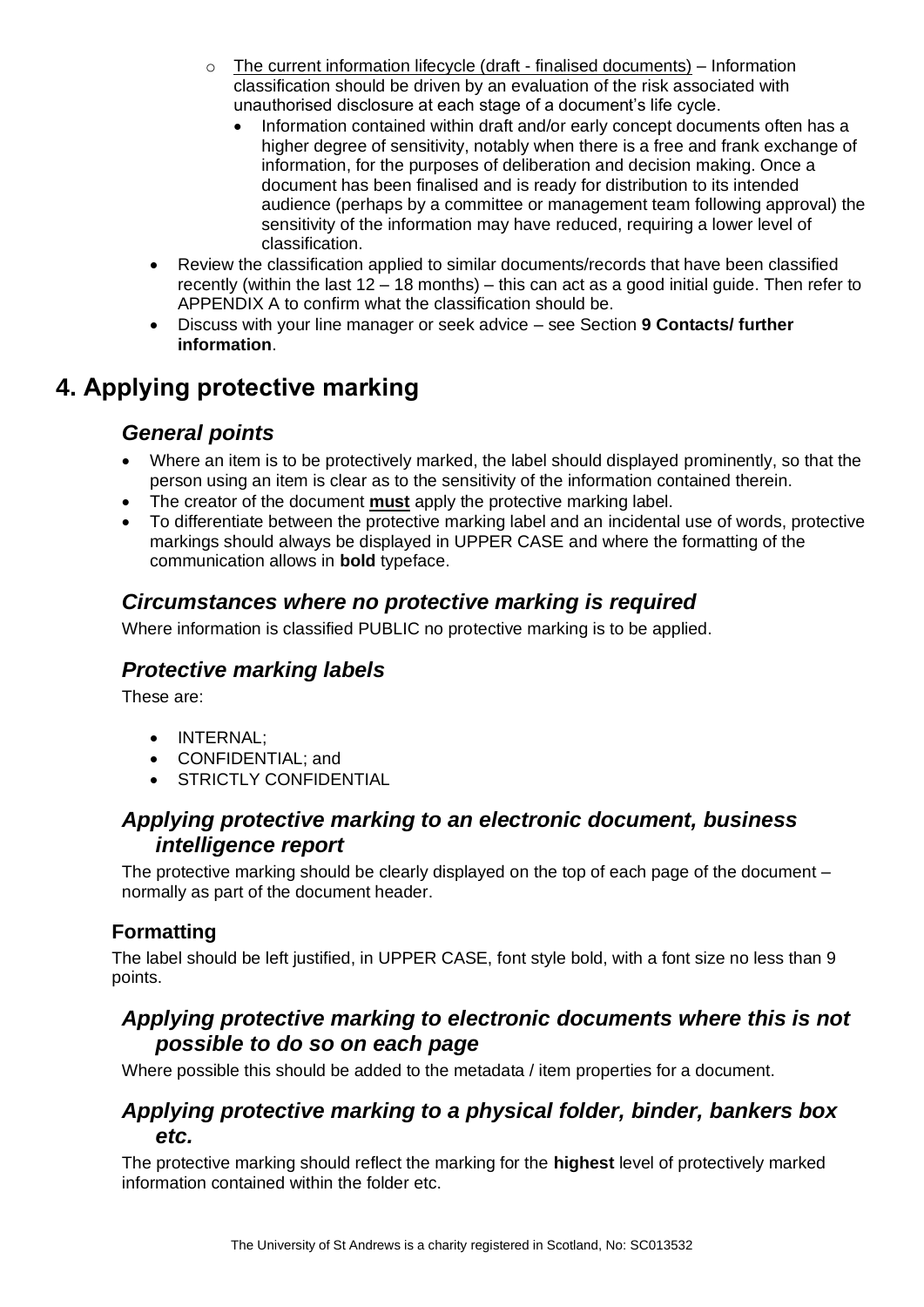- $\circ$  The current information lifecycle (draft finalised documents) Information classification should be driven by an evaluation of the risk associated with unauthorised disclosure at each stage of a document's life cycle.
	- Information contained within draft and/or early concept documents often has a higher degree of sensitivity, notably when there is a free and frank exchange of information, for the purposes of deliberation and decision making. Once a document has been finalised and is ready for distribution to its intended audience (perhaps by a committee or management team following approval) the sensitivity of the information may have reduced, requiring a lower level of classification.
- Review the classification applied to similar documents/records that have been classified recently (within the last  $12 - 18$  months) – this can act as a good initial guide. Then refer to APPENDIX A to confirm what the classification should be.
- Discuss with your line manager or seek advice see Section **9 Contacts/ further information**.

# **4. Applying protective marking**

#### *General points*

- Where an item is to be protectively marked, the label should displayed prominently, so that the person using an item is clear as to the sensitivity of the information contained therein.
- The creator of the document **must** apply the protective marking label.
- To differentiate between the protective marking label and an incidental use of words, protective markings should always be displayed in UPPER CASE and where the formatting of the communication allows in **bold** typeface.

#### *Circumstances where no protective marking is required*

Where information is classified PUBLIC no protective marking is to be applied.

#### *Protective marking labels*

These are:

- INTERNAL;
- CONFIDENTIAL; and
- STRICTLY CONFIDENTIAL

#### *Applying protective marking to an electronic document, business intelligence report*

The protective marking should be clearly displayed on the top of each page of the document – normally as part of the document header.

#### **Formatting**

The label should be left justified, in UPPER CASE, font style bold, with a font size no less than 9 points.

#### *Applying protective marking to electronic documents where this is not possible to do so on each page*

Where possible this should be added to the metadata / item properties for a document.

#### *Applying protective marking to a physical folder, binder, bankers box etc.*

The protective marking should reflect the marking for the **highest** level of protectively marked information contained within the folder etc.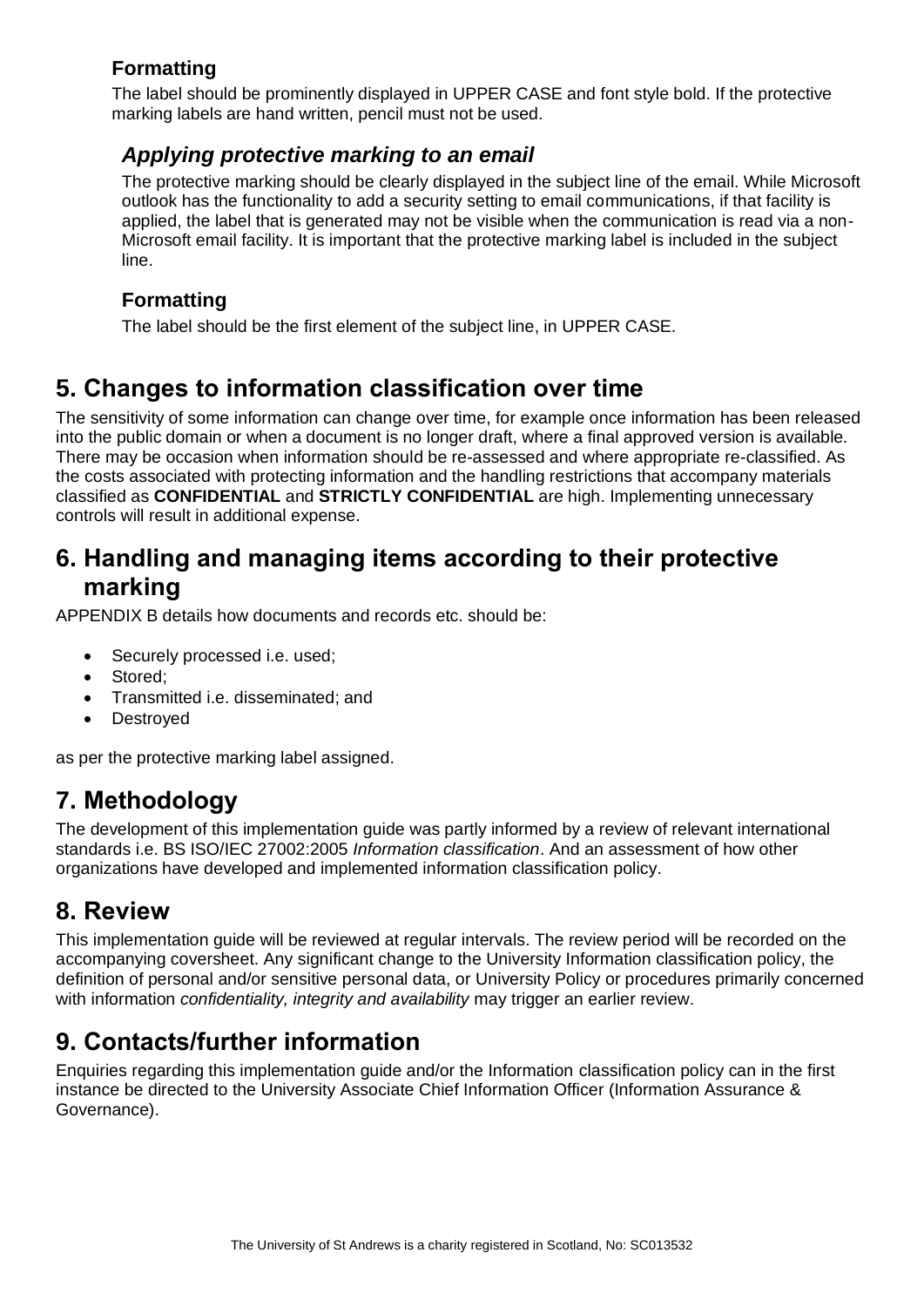#### **Formatting**

The label should be prominently displayed in UPPER CASE and font style bold. If the protective marking labels are hand written, pencil must not be used.

#### *Applying protective marking to an email*

The protective marking should be clearly displayed in the subject line of the email. While Microsoft outlook has the functionality to add a security setting to email communications, if that facility is applied, the label that is generated may not be visible when the communication is read via a non-Microsoft email facility. It is important that the protective marking label is included in the subject line.

#### **Formatting**

The label should be the first element of the subject line, in UPPER CASE.

# **5. Changes to information classification over time**

The sensitivity of some information can change over time, for example once information has been released into the public domain or when a document is no longer draft, where a final approved version is available. There may be occasion when information should be re-assessed and where appropriate re-classified. As the costs associated with protecting information and the handling restrictions that accompany materials classified as **CONFIDENTIAL** and **STRICTLY CONFIDENTIAL** are high. Implementing unnecessary controls will result in additional expense.

### **6. Handling and managing items according to their protective marking**

APPENDIX B details how documents and records etc. should be:

- Securely processed i.e. used;
- Stored;
- Transmitted i.e. disseminated; and
- **Destroved**

as per the protective marking label assigned.

# **7. Methodology**

The development of this implementation guide was partly informed by a review of relevant international standards i.e. BS ISO/IEC 27002:2005 *Information classification*. And an assessment of how other organizations have developed and implemented information classification policy.

### **8. Review**

This implementation guide will be reviewed at regular intervals. The review period will be recorded on the accompanying coversheet. Any significant change to the University Information classification policy, the definition of personal and/or sensitive personal data, or University Policy or procedures primarily concerned with information *confidentiality, integrity and availability* may trigger an earlier review.

# **9. Contacts/further information**

Enquiries regarding this implementation guide and/or the Information classification policy can in the first instance be directed to the University Associate Chief Information Officer (Information Assurance & Governance).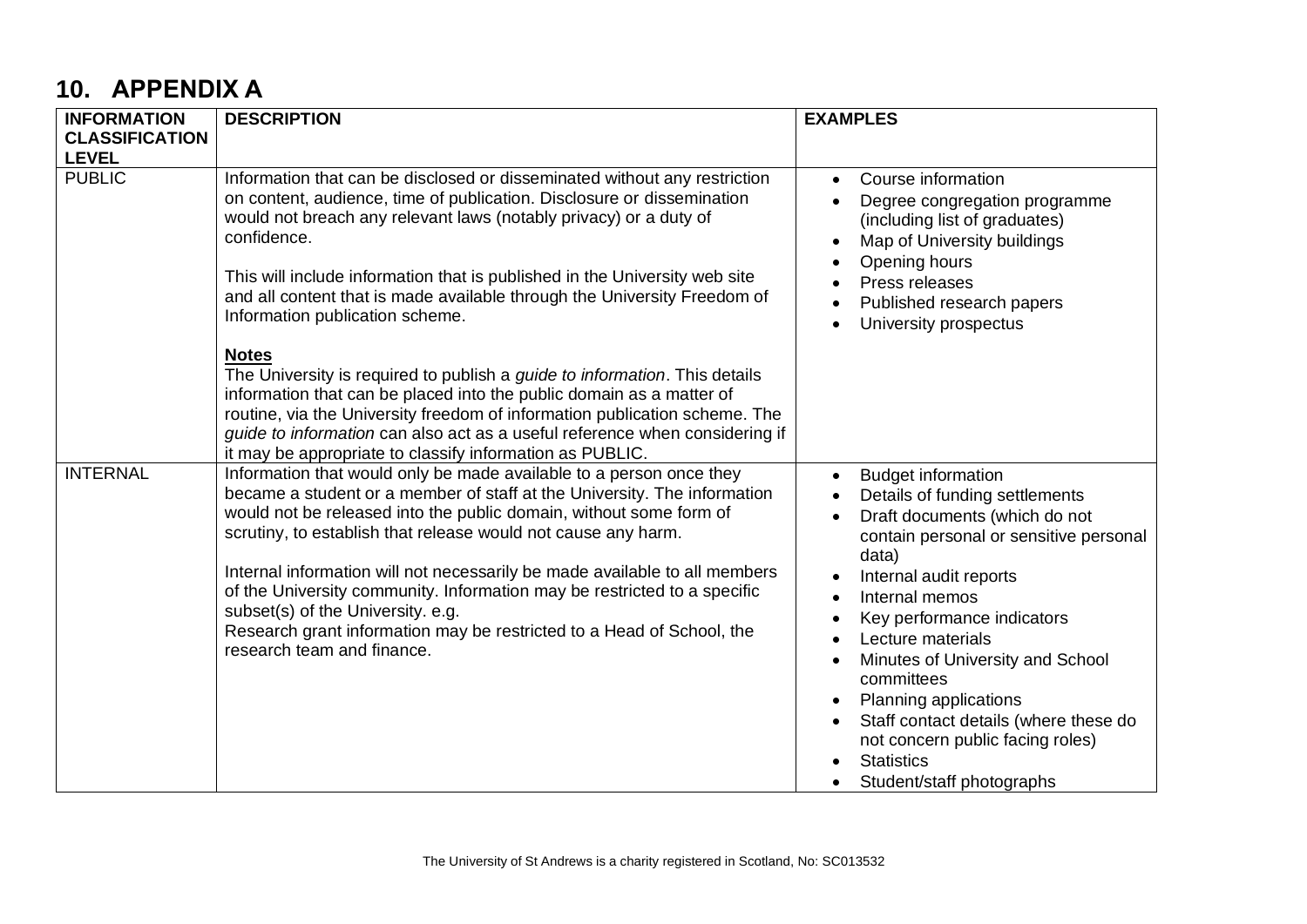# **10. APPENDIX A**

| <b>INFORMATION</b>            | <b>DESCRIPTION</b>                                                                                                                                                                                                                                                                                                                                                                                                                                                                                                                                                                           | <b>EXAMPLES</b>                                                                                                                                                                                                                                                                                                                                                                                                                                          |
|-------------------------------|----------------------------------------------------------------------------------------------------------------------------------------------------------------------------------------------------------------------------------------------------------------------------------------------------------------------------------------------------------------------------------------------------------------------------------------------------------------------------------------------------------------------------------------------------------------------------------------------|----------------------------------------------------------------------------------------------------------------------------------------------------------------------------------------------------------------------------------------------------------------------------------------------------------------------------------------------------------------------------------------------------------------------------------------------------------|
| <b>CLASSIFICATION</b>         |                                                                                                                                                                                                                                                                                                                                                                                                                                                                                                                                                                                              |                                                                                                                                                                                                                                                                                                                                                                                                                                                          |
| <b>LEVEL</b><br><b>PUBLIC</b> | Information that can be disclosed or disseminated without any restriction<br>on content, audience, time of publication. Disclosure or dissemination<br>would not breach any relevant laws (notably privacy) or a duty of<br>confidence.<br>This will include information that is published in the University web site<br>and all content that is made available through the University Freedom of<br>Information publication scheme.<br><b>Notes</b>                                                                                                                                         | Course information<br>Degree congregation programme<br>(including list of graduates)<br>Map of University buildings<br>$\bullet$<br>Opening hours<br>Press releases<br>Published research papers<br>University prospectus                                                                                                                                                                                                                                |
|                               | The University is required to publish a <i>quide to information</i> . This details<br>information that can be placed into the public domain as a matter of<br>routine, via the University freedom of information publication scheme. The<br>guide to information can also act as a useful reference when considering if<br>it may be appropriate to classify information as PUBLIC.                                                                                                                                                                                                          |                                                                                                                                                                                                                                                                                                                                                                                                                                                          |
| <b>INTERNAL</b>               | Information that would only be made available to a person once they<br>became a student or a member of staff at the University. The information<br>would not be released into the public domain, without some form of<br>scrutiny, to establish that release would not cause any harm.<br>Internal information will not necessarily be made available to all members<br>of the University community. Information may be restricted to a specific<br>subset(s) of the University. e.g.<br>Research grant information may be restricted to a Head of School, the<br>research team and finance. | <b>Budget information</b><br>Details of funding settlements<br>Draft documents (which do not<br>contain personal or sensitive personal<br>data)<br>Internal audit reports<br>Internal memos<br>Key performance indicators<br>Lecture materials<br>Minutes of University and School<br>committees<br>Planning applications<br>Staff contact details (where these do<br>not concern public facing roles)<br><b>Statistics</b><br>Student/staff photographs |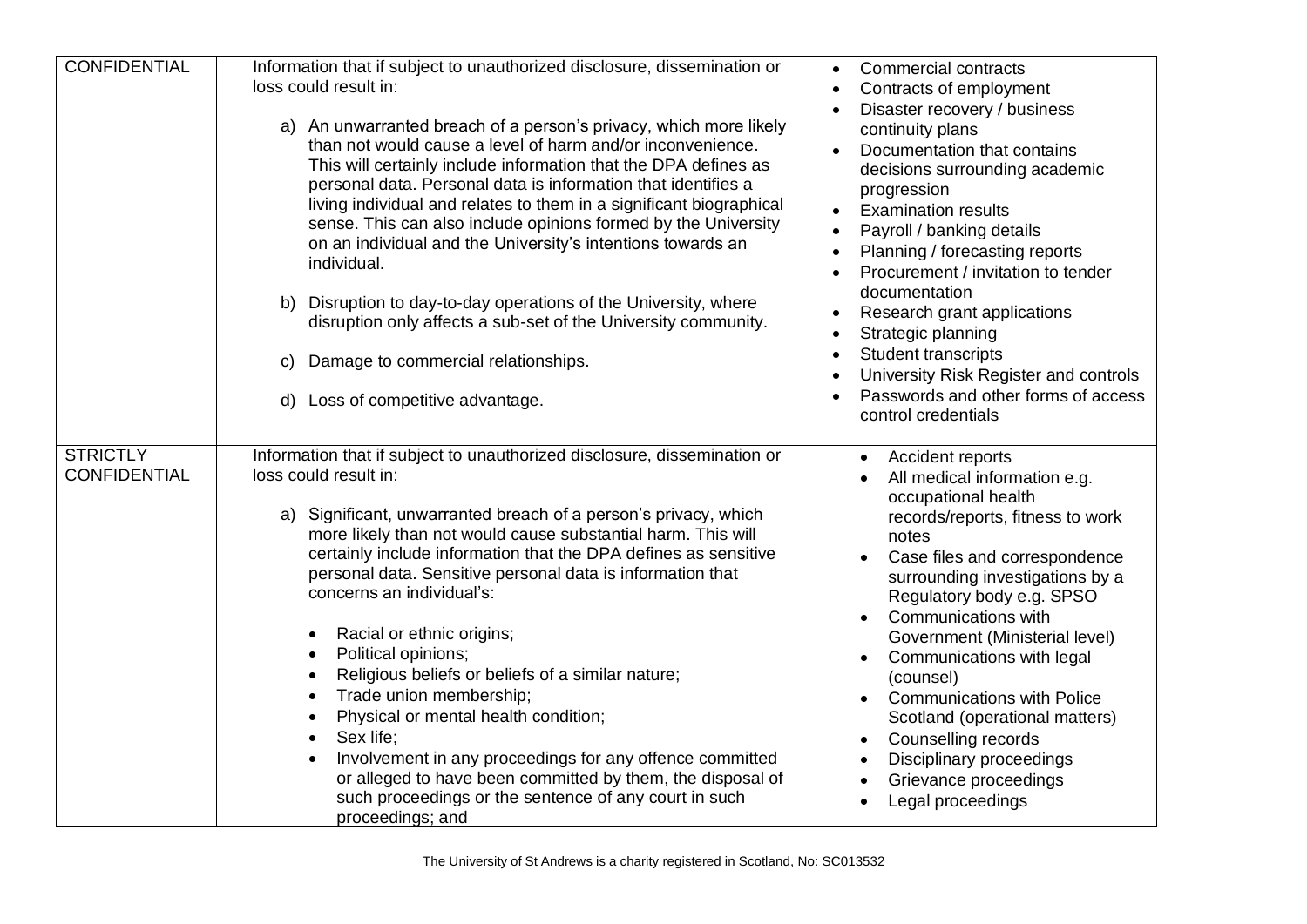| <b>CONFIDENTIAL</b>                    | Information that if subject to unauthorized disclosure, dissemination or<br>loss could result in:<br>a) An unwarranted breach of a person's privacy, which more likely<br>than not would cause a level of harm and/or inconvenience.<br>This will certainly include information that the DPA defines as<br>personal data. Personal data is information that identifies a<br>living individual and relates to them in a significant biographical<br>sense. This can also include opinions formed by the University<br>on an individual and the University's intentions towards an<br>individual.<br>b) Disruption to day-to-day operations of the University, where<br>disruption only affects a sub-set of the University community.<br>Damage to commercial relationships.<br>C)<br>Loss of competitive advantage.<br>d).                                                                    | <b>Commercial contracts</b><br>Contracts of employment<br>Disaster recovery / business<br>continuity plans<br>Documentation that contains<br>decisions surrounding academic<br>progression<br><b>Examination results</b><br>Payroll / banking details<br>Planning / forecasting reports<br>Procurement / invitation to tender<br>documentation<br>Research grant applications<br>Strategic planning<br><b>Student transcripts</b><br>University Risk Register and controls<br>Passwords and other forms of access<br>control credentials                    |
|----------------------------------------|-----------------------------------------------------------------------------------------------------------------------------------------------------------------------------------------------------------------------------------------------------------------------------------------------------------------------------------------------------------------------------------------------------------------------------------------------------------------------------------------------------------------------------------------------------------------------------------------------------------------------------------------------------------------------------------------------------------------------------------------------------------------------------------------------------------------------------------------------------------------------------------------------|-------------------------------------------------------------------------------------------------------------------------------------------------------------------------------------------------------------------------------------------------------------------------------------------------------------------------------------------------------------------------------------------------------------------------------------------------------------------------------------------------------------------------------------------------------------|
| <b>STRICTLY</b><br><b>CONFIDENTIAL</b> | Information that if subject to unauthorized disclosure, dissemination or<br>loss could result in:<br>a) Significant, unwarranted breach of a person's privacy, which<br>more likely than not would cause substantial harm. This will<br>certainly include information that the DPA defines as sensitive<br>personal data. Sensitive personal data is information that<br>concerns an individual's:<br>Racial or ethnic origins;<br>$\bullet$<br>Political opinions;<br>$\bullet$<br>Religious beliefs or beliefs of a similar nature;<br>$\bullet$<br>Trade union membership;<br>$\bullet$<br>Physical or mental health condition;<br>$\bullet$<br>Sex life;<br>$\bullet$<br>Involvement in any proceedings for any offence committed<br>$\bullet$<br>or alleged to have been committed by them, the disposal of<br>such proceedings or the sentence of any court in such<br>proceedings; and | <b>Accident reports</b><br>$\bullet$<br>All medical information e.g.<br>occupational health<br>records/reports, fitness to work<br>notes<br>Case files and correspondence<br>surrounding investigations by a<br>Regulatory body e.g. SPSO<br>Communications with<br>$\bullet$<br>Government (Ministerial level)<br>Communications with legal<br>$\bullet$<br>(counsel)<br><b>Communications with Police</b><br>Scotland (operational matters)<br>Counselling records<br>$\bullet$<br>Disciplinary proceedings<br>Grievance proceedings<br>Legal proceedings |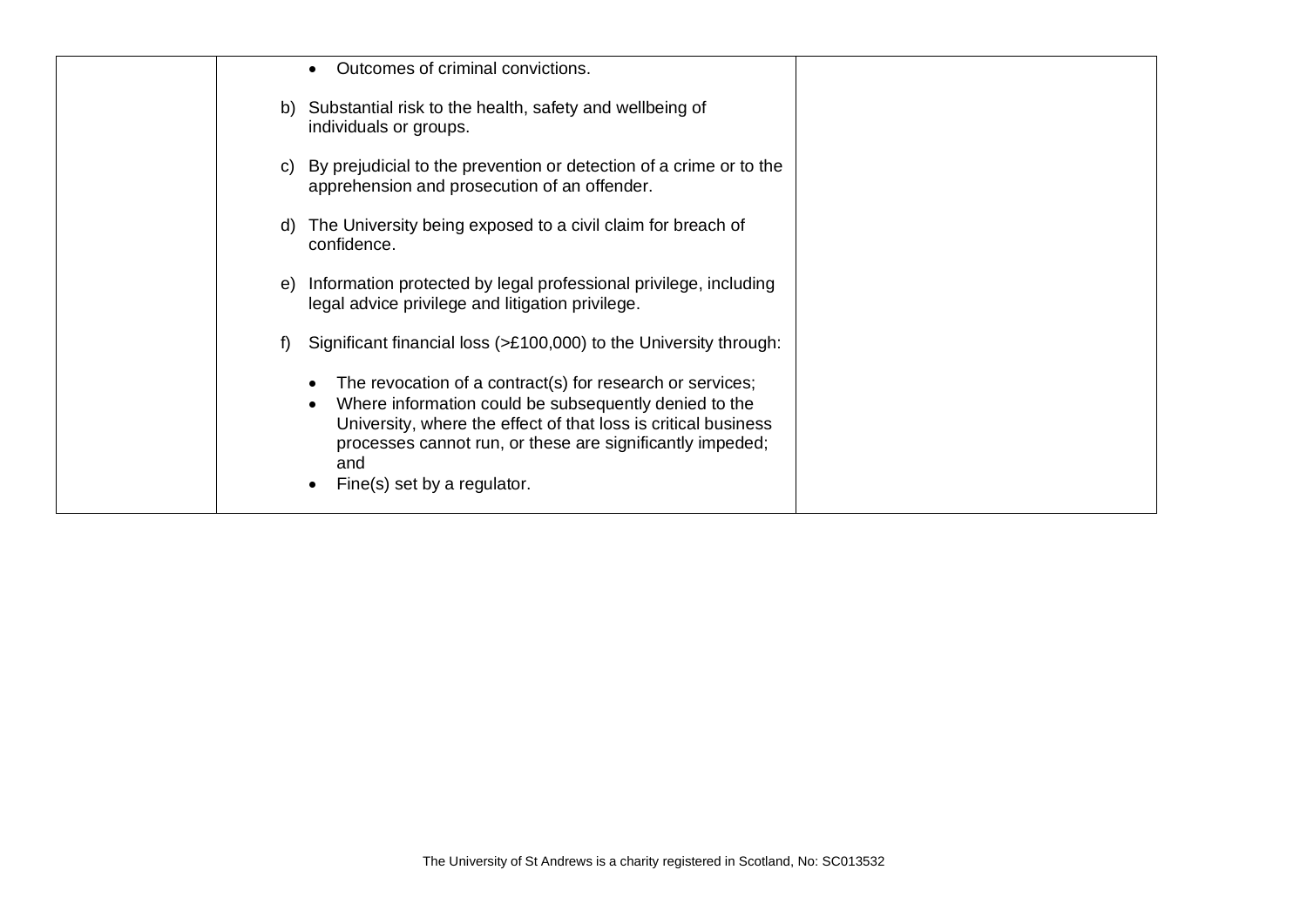| Outcomes of criminal convictions.                                                                                                                                                                                                                                                       |  |
|-----------------------------------------------------------------------------------------------------------------------------------------------------------------------------------------------------------------------------------------------------------------------------------------|--|
| b) Substantial risk to the health, safety and wellbeing of<br>individuals or groups.                                                                                                                                                                                                    |  |
| By prejudicial to the prevention or detection of a crime or to the<br>C)<br>apprehension and prosecution of an offender.                                                                                                                                                                |  |
| The University being exposed to a civil claim for breach of<br>confidence.                                                                                                                                                                                                              |  |
| Information protected by legal professional privilege, including<br>e)<br>legal advice privilege and litigation privilege.                                                                                                                                                              |  |
| Significant financial loss (>£100,000) to the University through:<br>f                                                                                                                                                                                                                  |  |
| The revocation of a contract(s) for research or services;<br>Where information could be subsequently denied to the<br>University, where the effect of that loss is critical business<br>processes cannot run, or these are significantly impeded;<br>and<br>Fine(s) set by a regulator. |  |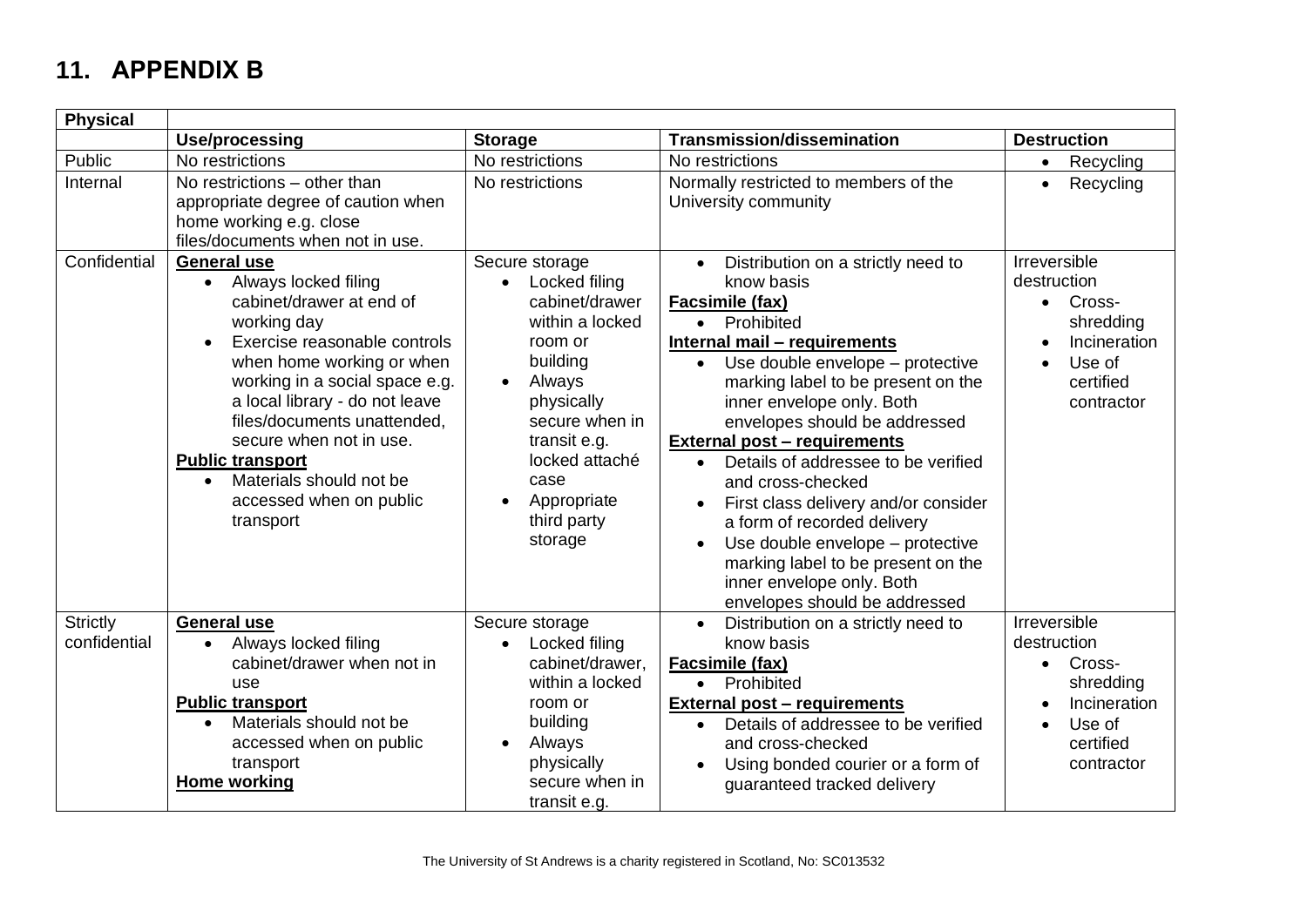# **11. APPENDIX B**

| <b>Physical</b>                 |                                                                                                                                                                                                                                                                                                                                                                                               |                                                                                                                                                                                                                                                    |                                                                                                                                                                                                                                                                                                                                                                                                                                                                                                                                                                                                         |                                                                                                           |
|---------------------------------|-----------------------------------------------------------------------------------------------------------------------------------------------------------------------------------------------------------------------------------------------------------------------------------------------------------------------------------------------------------------------------------------------|----------------------------------------------------------------------------------------------------------------------------------------------------------------------------------------------------------------------------------------------------|---------------------------------------------------------------------------------------------------------------------------------------------------------------------------------------------------------------------------------------------------------------------------------------------------------------------------------------------------------------------------------------------------------------------------------------------------------------------------------------------------------------------------------------------------------------------------------------------------------|-----------------------------------------------------------------------------------------------------------|
|                                 | Use/processing                                                                                                                                                                                                                                                                                                                                                                                | <b>Storage</b>                                                                                                                                                                                                                                     | <b>Transmission/dissemination</b>                                                                                                                                                                                                                                                                                                                                                                                                                                                                                                                                                                       | <b>Destruction</b>                                                                                        |
| Public                          | No restrictions                                                                                                                                                                                                                                                                                                                                                                               | No restrictions                                                                                                                                                                                                                                    | No restrictions                                                                                                                                                                                                                                                                                                                                                                                                                                                                                                                                                                                         | Recycling                                                                                                 |
| Internal                        | No restrictions - other than<br>appropriate degree of caution when<br>home working e.g. close<br>files/documents when not in use.                                                                                                                                                                                                                                                             | No restrictions                                                                                                                                                                                                                                    | Normally restricted to members of the<br>University community                                                                                                                                                                                                                                                                                                                                                                                                                                                                                                                                           | Recycling                                                                                                 |
| Confidential                    | <b>General use</b><br>• Always locked filing<br>cabinet/drawer at end of<br>working day<br>Exercise reasonable controls<br>when home working or when<br>working in a social space e.g.<br>a local library - do not leave<br>files/documents unattended,<br>secure when not in use.<br><b>Public transport</b><br>Materials should not be<br>$\bullet$<br>accessed when on public<br>transport | Secure storage<br>Locked filing<br>$\bullet$<br>cabinet/drawer<br>within a locked<br>room or<br>building<br>Always<br>$\bullet$<br>physically<br>secure when in<br>transit e.g.<br>locked attaché<br>case<br>Appropriate<br>third party<br>storage | Distribution on a strictly need to<br>know basis<br>Facsimile (fax)<br>• Prohibited<br>Internal mail - requirements<br>Use double envelope - protective<br>$\bullet$<br>marking label to be present on the<br>inner envelope only. Both<br>envelopes should be addressed<br><b>External post - requirements</b><br>Details of addressee to be verified<br>$\bullet$<br>and cross-checked<br>First class delivery and/or consider<br>a form of recorded delivery<br>Use double envelope - protective<br>marking label to be present on the<br>inner envelope only. Both<br>envelopes should be addressed | Irreversible<br>destruction<br>• Cross-<br>shredding<br>Incineration<br>Use of<br>certified<br>contractor |
| <b>Strictly</b><br>confidential | <b>General use</b><br>Always locked filing<br>$\bullet$<br>cabinet/drawer when not in<br>use<br><b>Public transport</b><br>Materials should not be<br>$\bullet$<br>accessed when on public<br>transport<br>Home working                                                                                                                                                                       | Secure storage<br>Locked filing<br>cabinet/drawer.<br>within a locked<br>room or<br>building<br>Always<br>physically<br>secure when in<br>transit e.g.                                                                                             | Distribution on a strictly need to<br>know basis<br><b>Facsimile (fax)</b><br>Prohibited<br>$\bullet$<br><b>External post - requirements</b><br>Details of addressee to be verified<br>$\bullet$<br>and cross-checked<br>Using bonded courier or a form of<br>guaranteed tracked delivery                                                                                                                                                                                                                                                                                                               | Irreversible<br>destruction<br>Cross-<br>shredding<br>Incineration<br>Use of<br>certified<br>contractor   |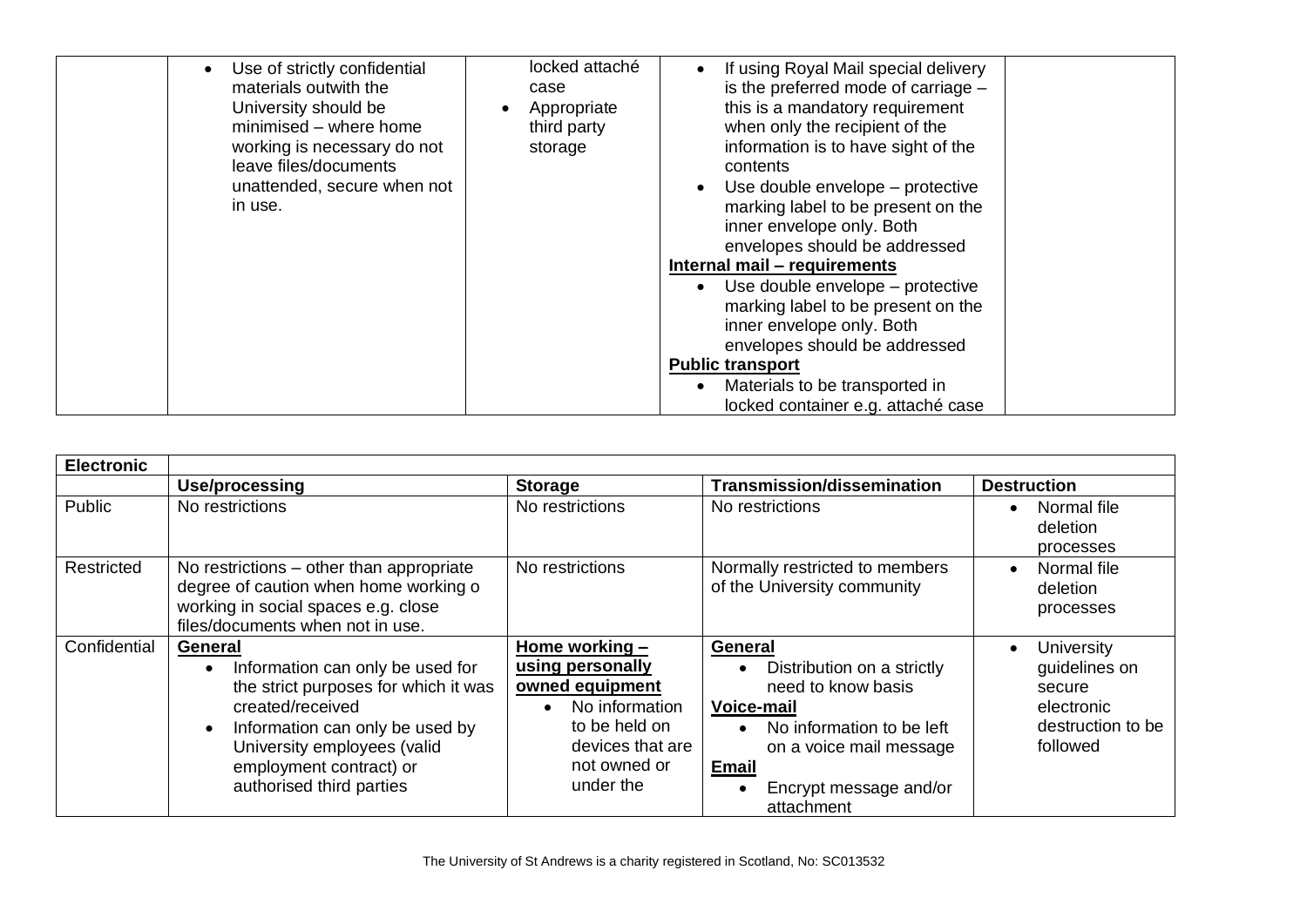| Use of strictly confidential<br>materials outwith the<br>University should be<br>minimised - where home<br>working is necessary do not<br>leave files/documents<br>unattended, secure when not<br>in use. | locked attaché<br>case<br>Appropriate<br>third party<br>storage | If using Royal Mail special delivery<br>is the preferred mode of carriage -<br>this is a mandatory requirement<br>when only the recipient of the<br>information is to have sight of the<br>contents<br>Use double envelope – protective<br>$\bullet$<br>marking label to be present on the<br>inner envelope only. Both<br>envelopes should be addressed<br>Internal mail - requirements<br>Use double envelope - protective<br>$\bullet$<br>marking label to be present on the<br>inner envelope only. Both<br>envelopes should be addressed<br><b>Public transport</b><br>Materials to be transported in<br>locked container e.g. attaché case |  |
|-----------------------------------------------------------------------------------------------------------------------------------------------------------------------------------------------------------|-----------------------------------------------------------------|--------------------------------------------------------------------------------------------------------------------------------------------------------------------------------------------------------------------------------------------------------------------------------------------------------------------------------------------------------------------------------------------------------------------------------------------------------------------------------------------------------------------------------------------------------------------------------------------------------------------------------------------------|--|
|-----------------------------------------------------------------------------------------------------------------------------------------------------------------------------------------------------------|-----------------------------------------------------------------|--------------------------------------------------------------------------------------------------------------------------------------------------------------------------------------------------------------------------------------------------------------------------------------------------------------------------------------------------------------------------------------------------------------------------------------------------------------------------------------------------------------------------------------------------------------------------------------------------------------------------------------------------|--|

| <b>Electronic</b> |                                                                                                                                                                                                                                  |                                                                                                                                                        |                                                                                                                                                                                           |                                                                                      |
|-------------------|----------------------------------------------------------------------------------------------------------------------------------------------------------------------------------------------------------------------------------|--------------------------------------------------------------------------------------------------------------------------------------------------------|-------------------------------------------------------------------------------------------------------------------------------------------------------------------------------------------|--------------------------------------------------------------------------------------|
|                   | Use/processing                                                                                                                                                                                                                   | <b>Storage</b>                                                                                                                                         | <b>Transmission/dissemination</b>                                                                                                                                                         | <b>Destruction</b>                                                                   |
| Public            | No restrictions                                                                                                                                                                                                                  | No restrictions                                                                                                                                        | No restrictions                                                                                                                                                                           | Normal file<br>deletion<br>processes                                                 |
| Restricted        | No restrictions – other than appropriate<br>degree of caution when home working o<br>working in social spaces e.g. close<br>files/documents when not in use.                                                                     | No restrictions                                                                                                                                        | Normally restricted to members<br>of the University community                                                                                                                             | Normal file<br>deletion<br>processes                                                 |
| Confidential      | General<br>Information can only be used for<br>the strict purposes for which it was<br>created/received<br>Information can only be used by<br>University employees (valid<br>employment contract) or<br>authorised third parties | Home working -<br>using personally<br>owned equipment<br>No information<br>$\bullet$<br>to be held on<br>devices that are<br>not owned or<br>under the | General<br>Distribution on a strictly<br>need to know basis<br><b>Voice-mail</b><br>No information to be left<br>on a voice mail message<br>Email<br>Encrypt message and/or<br>attachment | University<br>guidelines on<br>secure<br>electronic<br>destruction to be<br>followed |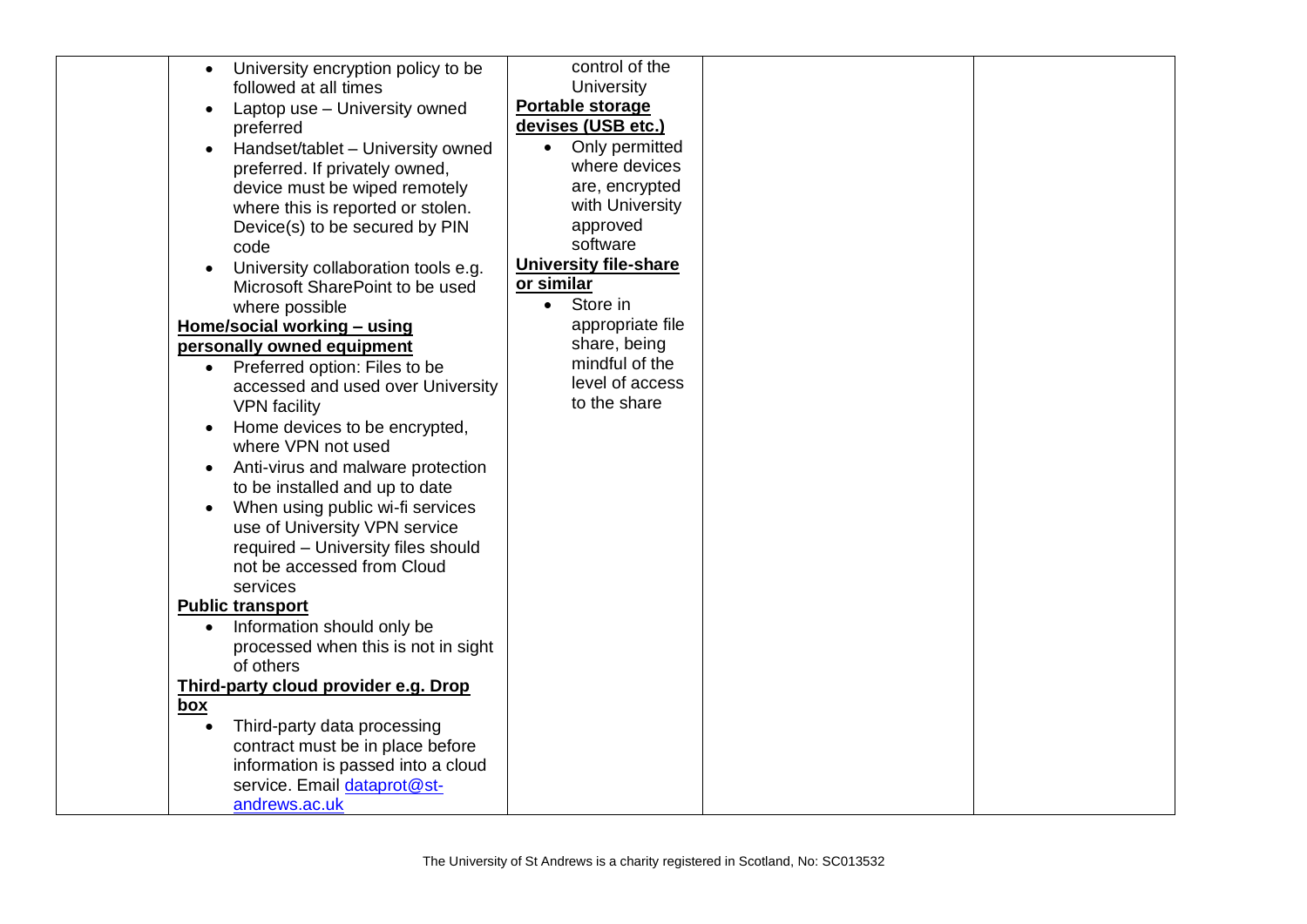| University encryption policy to be<br>$\bullet$ |            | control of the               |  |
|-------------------------------------------------|------------|------------------------------|--|
| followed at all times                           |            | University                   |  |
| Laptop use - University owned<br>$\bullet$      |            | Portable storage             |  |
| preferred                                       |            | devises (USB etc.)           |  |
| Handset/tablet - University owned               | $\bullet$  | Only permitted               |  |
| preferred. If privately owned,                  |            | where devices                |  |
| device must be wiped remotely                   |            | are, encrypted               |  |
| where this is reported or stolen.               |            | with University              |  |
| Device(s) to be secured by PIN                  |            | approved                     |  |
| code                                            |            | software                     |  |
| University collaboration tools e.g.             |            | <b>University file-share</b> |  |
| Microsoft SharePoint to be used                 | or similar |                              |  |
| where possible                                  | $\bullet$  | Store in                     |  |
| Home/social working - using                     |            | appropriate file             |  |
| personally owned equipment                      |            | share, being                 |  |
| Preferred option: Files to be<br>$\bullet$      |            | mindful of the               |  |
| accessed and used over University               |            | level of access              |  |
| <b>VPN</b> facility                             |            | to the share                 |  |
| Home devices to be encrypted,<br>$\bullet$      |            |                              |  |
| where VPN not used                              |            |                              |  |
| Anti-virus and malware protection<br>$\bullet$  |            |                              |  |
| to be installed and up to date                  |            |                              |  |
| When using public wi-fi services                |            |                              |  |
| use of University VPN service                   |            |                              |  |
| required - University files should              |            |                              |  |
| not be accessed from Cloud                      |            |                              |  |
| services                                        |            |                              |  |
| <b>Public transport</b>                         |            |                              |  |
| Information should only be                      |            |                              |  |
| processed when this is not in sight             |            |                              |  |
| of others                                       |            |                              |  |
| Third-party cloud provider e.g. Drop            |            |                              |  |
| <u>box</u>                                      |            |                              |  |
| Third-party data processing                     |            |                              |  |
| contract must be in place before                |            |                              |  |
| information is passed into a cloud              |            |                              |  |
| service. Email dataprot@st-                     |            |                              |  |
| andrews.ac.uk                                   |            |                              |  |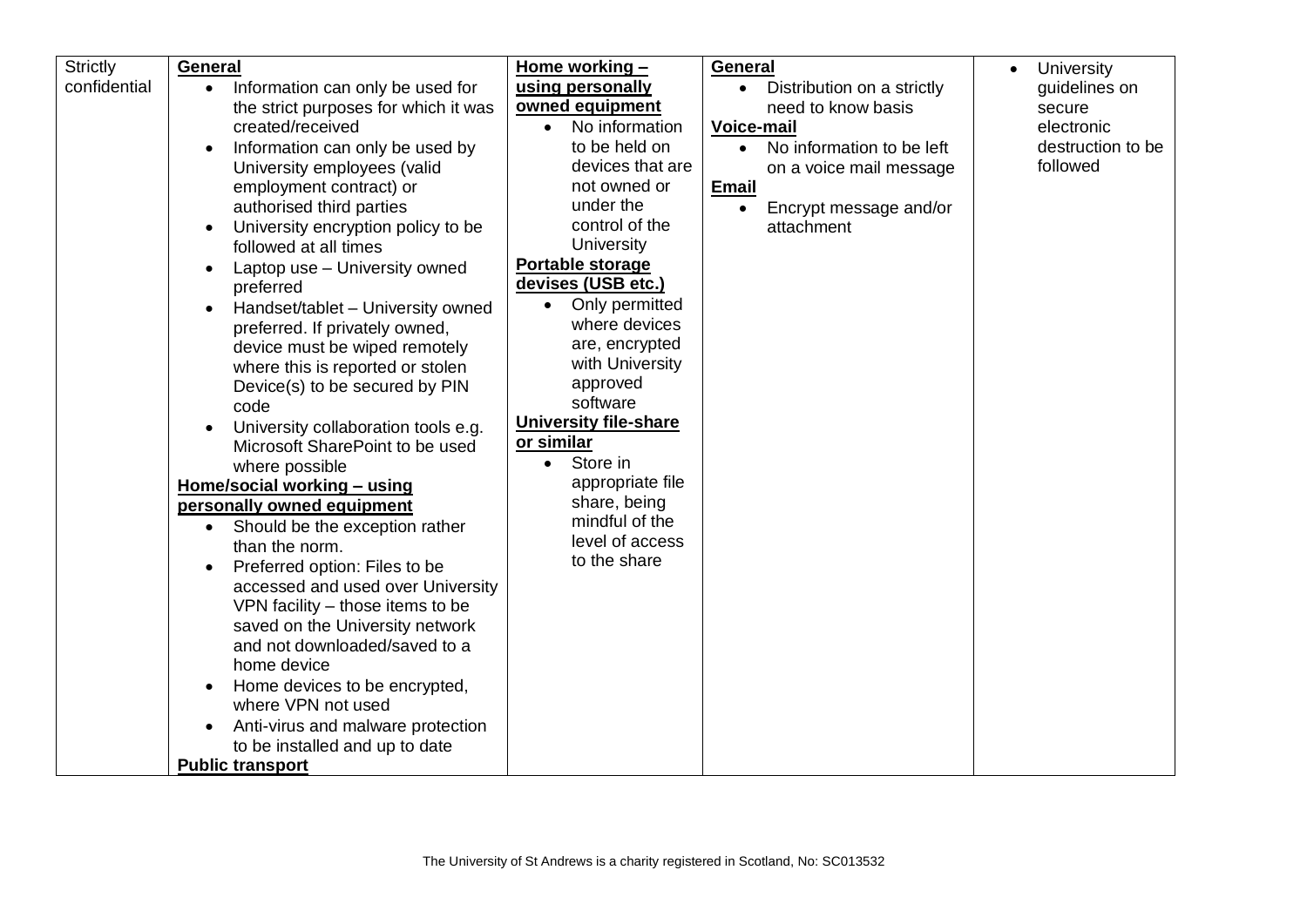| <b>Strictly</b> | General                                                                | Home working $-$                  | General                                 | University<br>$\bullet$ |
|-----------------|------------------------------------------------------------------------|-----------------------------------|-----------------------------------------|-------------------------|
| confidential    | Information can only be used for<br>$\bullet$                          | using personally                  | Distribution on a strictly<br>$\bullet$ | guidelines on           |
|                 | the strict purposes for which it was                                   | owned equipment                   | need to know basis                      | secure                  |
|                 | created/received                                                       | No information<br>$\bullet$       | <b>Voice-mail</b>                       | electronic              |
|                 | Information can only be used by                                        | to be held on                     | No information to be left<br>$\bullet$  | destruction to be       |
|                 | University employees (valid                                            | devices that are                  | on a voice mail message                 | followed                |
|                 | employment contract) or                                                | not owned or                      | <b>Email</b>                            |                         |
|                 | authorised third parties                                               | under the                         | Encrypt message and/or<br>$\bullet$     |                         |
|                 | University encryption policy to be                                     | control of the                    | attachment                              |                         |
|                 | followed at all times                                                  | <b>University</b>                 |                                         |                         |
|                 | Laptop use - University owned                                          | Portable storage                  |                                         |                         |
|                 | preferred                                                              | devises (USB etc.)                |                                         |                         |
|                 | Handset/tablet - University owned                                      | Only permitted<br>$\bullet$       |                                         |                         |
|                 | preferred. If privately owned,                                         | where devices                     |                                         |                         |
|                 | device must be wiped remotely                                          | are, encrypted<br>with University |                                         |                         |
|                 | where this is reported or stolen                                       | approved                          |                                         |                         |
|                 | Device(s) to be secured by PIN<br>code                                 | software                          |                                         |                         |
|                 |                                                                        | <b>University file-share</b>      |                                         |                         |
|                 | University collaboration tools e.g.<br>Microsoft SharePoint to be used | or similar                        |                                         |                         |
|                 | where possible                                                         | Store in<br>$\bullet$             |                                         |                         |
|                 | Home/social working - using                                            | appropriate file                  |                                         |                         |
|                 | personally owned equipment                                             | share, being                      |                                         |                         |
|                 | • Should be the exception rather                                       | mindful of the                    |                                         |                         |
|                 | than the norm.                                                         | level of access                   |                                         |                         |
|                 | Preferred option: Files to be                                          | to the share                      |                                         |                         |
|                 | accessed and used over University                                      |                                   |                                         |                         |
|                 | VPN facility – those items to be                                       |                                   |                                         |                         |
|                 | saved on the University network                                        |                                   |                                         |                         |
|                 | and not downloaded/saved to a                                          |                                   |                                         |                         |
|                 | home device                                                            |                                   |                                         |                         |
|                 | Home devices to be encrypted,                                          |                                   |                                         |                         |
|                 | where VPN not used                                                     |                                   |                                         |                         |
|                 | Anti-virus and malware protection                                      |                                   |                                         |                         |
|                 | to be installed and up to date                                         |                                   |                                         |                         |
|                 | <b>Public transport</b>                                                |                                   |                                         |                         |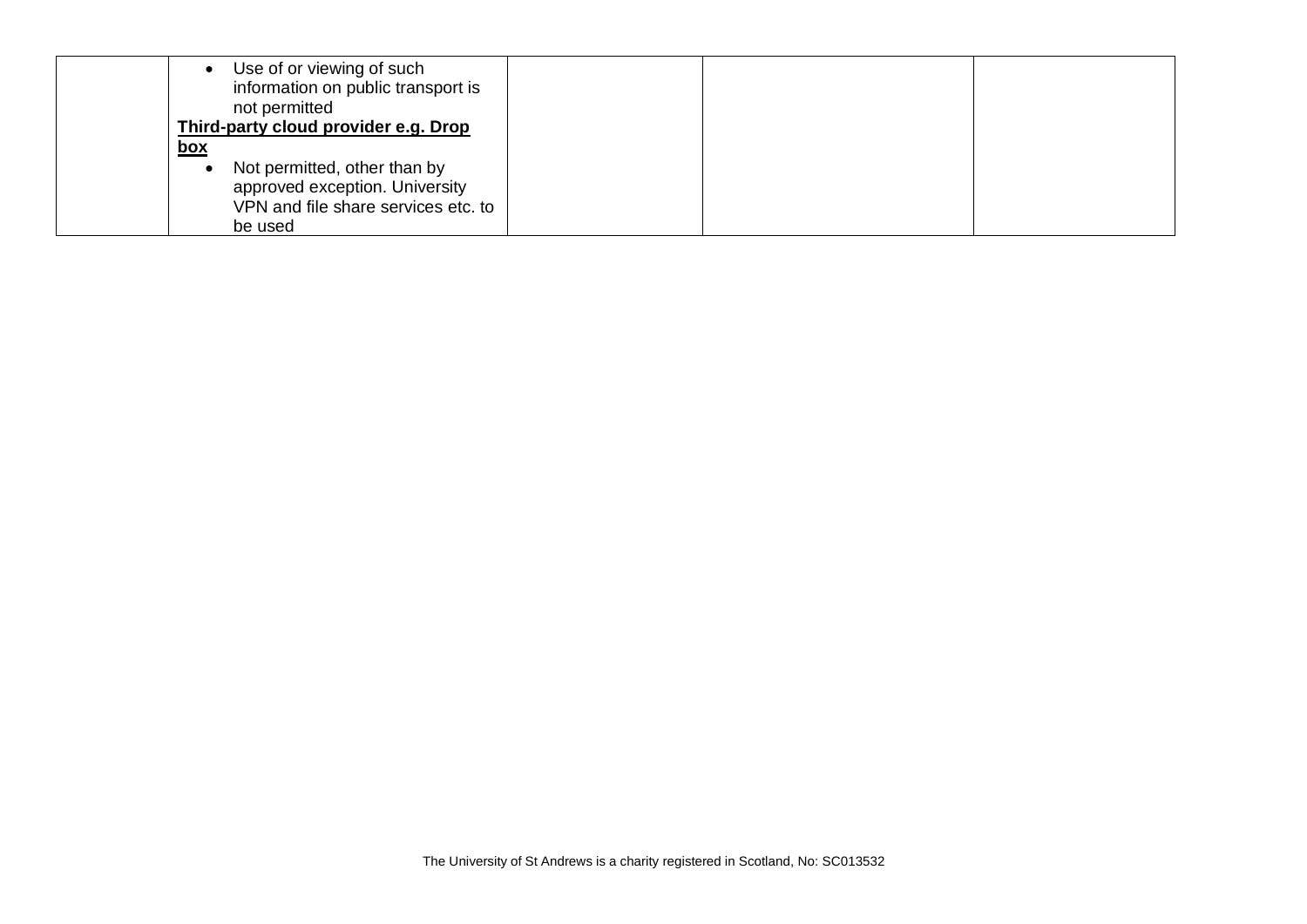| Use of or viewing of such<br>$\bullet$<br>information on public transport is<br>not permitted                                 |  |
|-------------------------------------------------------------------------------------------------------------------------------|--|
| Third-party cloud provider e.g. Drop<br>box                                                                                   |  |
| Not permitted, other than by<br>$\bullet$<br>approved exception. University<br>VPN and file share services etc. to<br>be used |  |